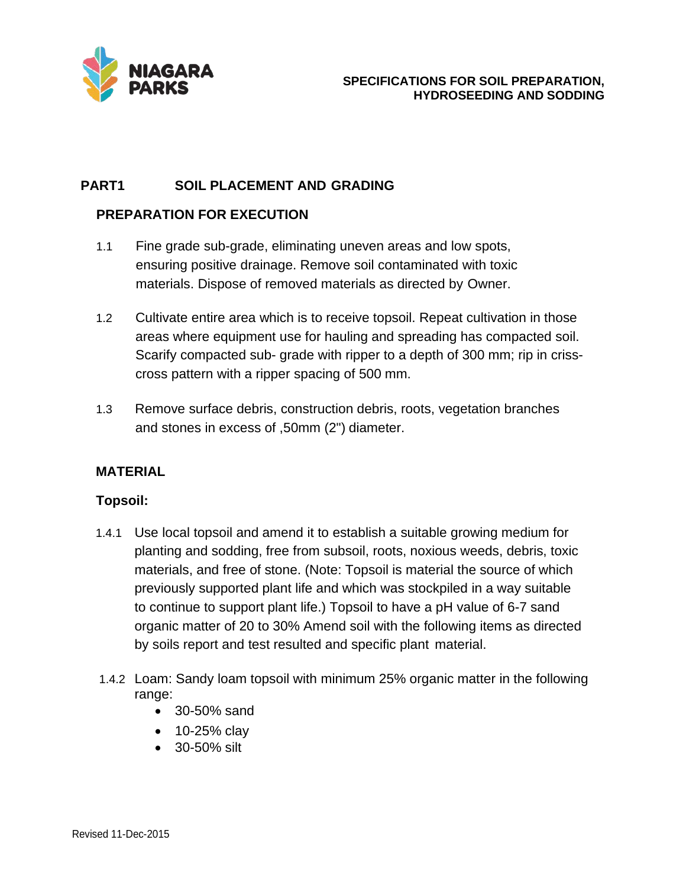

## **PART1 SOIL PLACEMENT AND GRADING**

## **PREPARATION FOR EXECUTION**

- 1.1 Fine grade sub-grade, eliminating uneven areas and low spots, ensuring positive drainage. Remove soil contaminated with toxic materials. Dispose of removed materials as directed by Owner.
- 1.2 Cultivate entire area which is to receive topsoil. Repeat cultivation in those areas where equipment use for hauling and spreading has compacted soil. Scarify compacted sub- grade with ripper to a depth of 300 mm; rip in crisscross pattern with a ripper spacing of 500 mm.
- 1.3 Remove surface debris, construction debris, roots, vegetation branches and stones in excess of ,50mm (2") diameter.

#### **MATERIAL**

#### **Topsoil:**

- 1.4.1 Use local topsoil and amend it to establish a suitable growing medium for planting and sodding, free from subsoil, roots, noxious weeds, debris, toxic materials, and free of stone. (Note: Topsoil is material the source of which previously supported plant life and which was stockpiled in a way suitable to continue to support plant life.) Topsoil to have a pH value of 6-7 sand organic matter of 20 to 30% Amend soil with the following items as directed by soils report and test resulted and specific plant material.
- 1.4.2 Loam: Sandy loam topsoil with minimum 25% organic matter in the following range:
	- 30-50% sand
	- 10-25% clay
	- 30-50% silt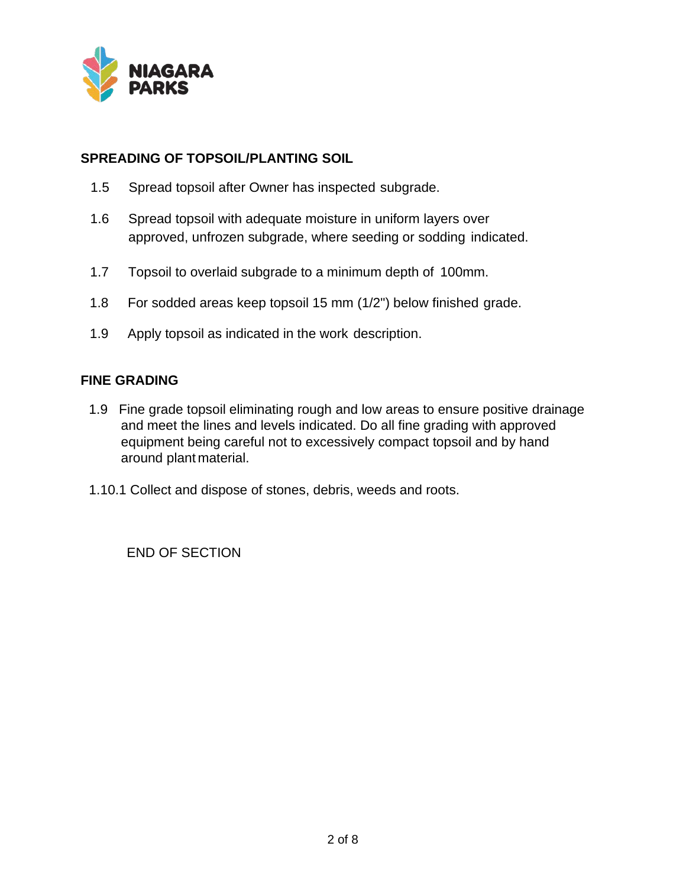

### **SPREADING OF TOPSOIL/PLANTING SOIL**

- 1.5 Spread topsoil after Owner has inspected subgrade.
- 1.6 Spread topsoil with adequate moisture in uniform layers over approved, unfrozen subgrade, where seeding or sodding indicated.
- 1.7 Topsoil to overlaid subgrade to a minimum depth of 100mm.
- 1.8 For sodded areas keep topsoil 15 mm (1/2") below finished grade.
- 1.9 Apply topsoil as indicated in the work description.

#### **FINE GRADING**

- 1.9 Fine grade topsoil eliminating rough and low areas to ensure positive drainage and meet the lines and levels indicated. Do all fine grading with approved equipment being careful not to excessively compact topsoil and by hand around plant material.
- 1.10.1 Collect and dispose of stones, debris, weeds and roots.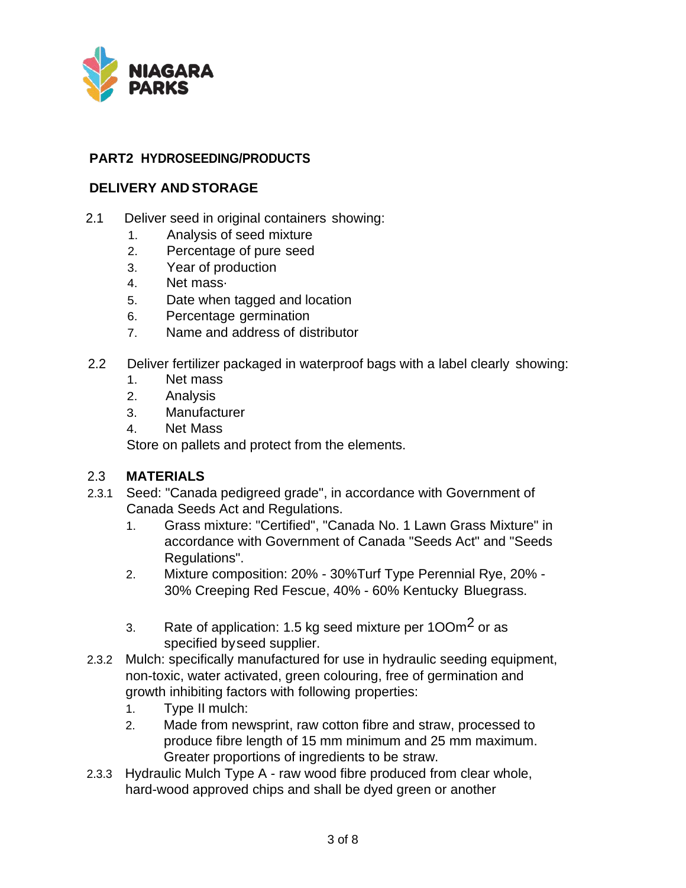

## **PART2 HYDROSEEDING/PRODUCTS**

## **DELIVERY AND STORAGE**

- 2.1 Deliver seed in original containers showing:
	- 1. Analysis of seed mixture
	- 2. Percentage of pure seed
	- 3. Year of production
	- 4. Net mass·
	- 5. Date when tagged and location
	- 6. Percentage germination
	- 7. Name and address of distributor
- 2.2 Deliver fertilizer packaged in waterproof bags with a label clearly showing:
	- 1. Net mass
	- 2. Analysis
	- 3. Manufacturer
	- 4. Net Mass

Store on pallets and protect from the elements.

## 2.3 **MATERIALS**

- 2.3.1 Seed: "Canada pedigreed grade", in accordance with Government of Canada Seeds Act and Regulations.
	- 1. Grass mixture: "Certified", "Canada No. 1 Lawn Grass Mixture" in accordance with Government of Canada "Seeds Act" and "Seeds Regulations".
	- 2. Mixture composition: 20% 30%Turf Type Perennial Rye, 20% 30% Creeping Red Fescue, 40% - 60% Kentucky Bluegrass.
	- 3. Rate of application: 1.5 kg seed mixture per  $100m<sup>2</sup>$  or as specified byseed supplier.
- 2.3.2 Mulch: specifically manufactured for use in hydraulic seeding equipment, non-toxic, water activated, green colouring, free of germination and growth inhibiting factors with following properties:
	- 1. Type II mulch:
	- 2. Made from newsprint, raw cotton fibre and straw, processed to produce fibre length of 15 mm minimum and 25 mm maximum. Greater proportions of ingredients to be straw.
- 2.3.3 Hydraulic Mulch Type A raw wood fibre produced from clear whole, hard-wood approved chips and shall be dyed green or another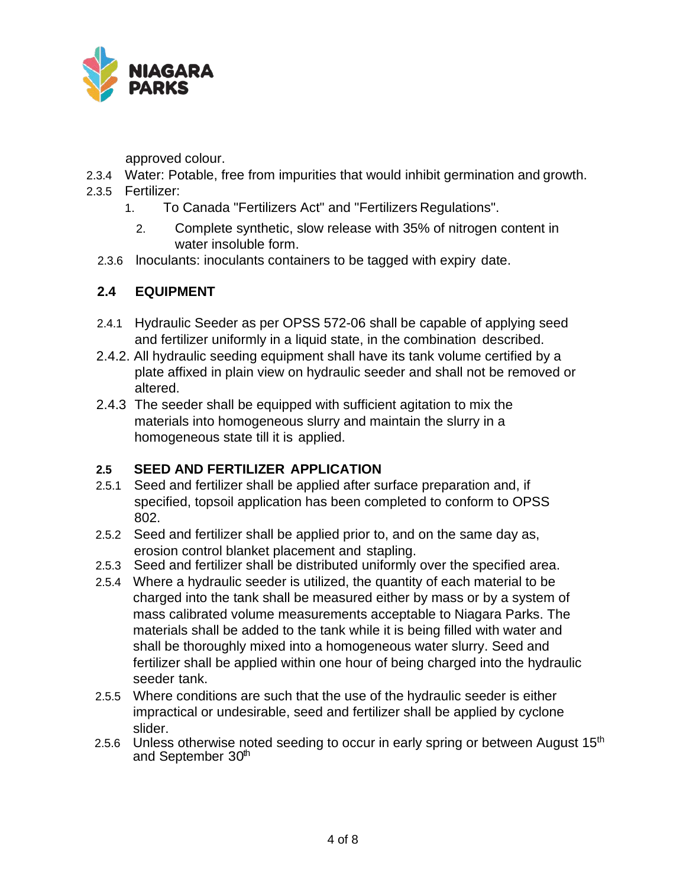

approved colour.

- 2.3.4 Water: Potable, free from impurities that would inhibit germination and growth.
- 2.3.5 Fertilizer:
	- 1. To Canada "Fertilizers Act" and "Fertilizers Regulations".
		- 2. Complete synthetic, slow release with 35% of nitrogen content in water insoluble form.
	- 2.3.6 lnoculants: inoculants containers to be tagged with expiry date.

# **2.4 EQUIPMENT**

- 2.4.1 Hydraulic Seeder as per OPSS 572-06 shall be capable of applying seed and fertilizer uniformly in a liquid state, in the combination described.
- 2.4.2. All hydraulic seeding equipment shall have its tank volume certified by a plate affixed in plain view on hydraulic seeder and shall not be removed or altered.
- 2.4.3 The seeder shall be equipped with sufficient agitation to mix the materials into homogeneous slurry and maintain the slurry in a homogeneous state till it is applied.

# **2.5 SEED AND FERTILIZER APPLICATION**

- 2.5.1 Seed and fertilizer shall be applied after surface preparation and, if specified, topsoil application has been completed to conform to OPSS 802.
- 2.5.2 Seed and fertilizer shall be applied prior to, and on the same day as, erosion control blanket placement and stapling.
- 2.5.3 Seed and fertilizer shall be distributed uniformly over the specified area.
- 2.5.4 Where a hydraulic seeder is utilized, the quantity of each material to be charged into the tank shall be measured either by mass or by a system of mass calibrated volume measurements acceptable to Niagara Parks. The materials shall be added to the tank while it is being filled with water and shall be thoroughly mixed into a homogeneous water slurry. Seed and fertilizer shall be applied within one hour of being charged into the hydraulic seeder tank.
- 2.5.5 Where conditions are such that the use of the hydraulic seeder is either impractical or undesirable, seed and fertilizer shall be applied by cyclone slider.
- 2.5.6 Unless otherwise noted seeding to occur in early spring or between August 15<sup>th</sup> and September 30<sup>th</sup>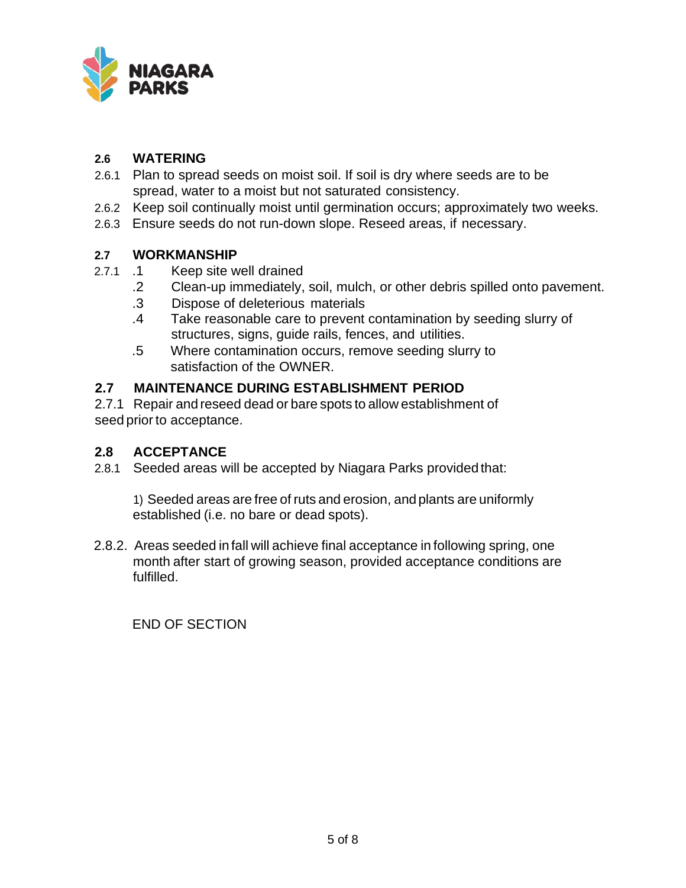

### **2.6 WATERING**

- 2.6.1 Plan to spread seeds on moist soil. If soil is dry where seeds are to be spread, water to a moist but not saturated consistency.
- 2.6.2 Keep soil continually moist until germination occurs; approximately two weeks.
- 2.6.3 Ensure seeds do not run-down slope. Reseed areas, if necessary.

### **2.7 WORKMANSHIP**

- 2.7.1 .1 Keep site well drained
	- .2 Clean-up immediately, soil, mulch, or other debris spilled onto pavement.
	- .3 Dispose of deleterious materials
	- .4 Take reasonable care to prevent contamination by seeding slurry of structures, signs, guide rails, fences, and utilities.
	- .5 Where contamination occurs, remove seeding slurry to satisfaction of the OWNER.

### **2.7 MAINTENANCE DURING ESTABLISHMENT PERIOD**

2.7.1 Repair and reseed dead or bare spots to allow establishment of seed prior to acceptance.

#### **2.8 ACCEPTANCE**

2.8.1 Seeded areas will be accepted by Niagara Parks provided that:

1) Seeded areas are free of ruts and erosion, and plants are uniformly established (i.e. no bare or dead spots).

2.8.2. Areas seeded in fall will achieve final acceptance in following spring, one month after start of growing season, provided acceptance conditions are fulfilled.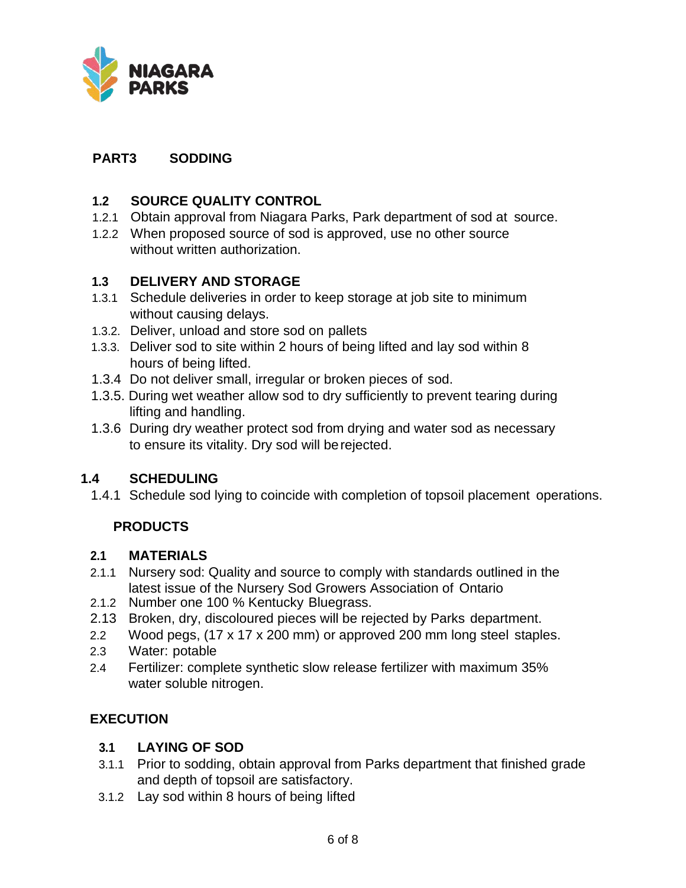

## **PART3 SODDING**

## **1.2 SOURCE QUALITY CONTROL**

- 1.2.1 Obtain approval from Niagara Parks, Park department of sod at source.
- 1.2.2 When proposed source of sod is approved, use no other source without written authorization.

### **1.3 DELIVERY AND STORAGE**

- 1.3.1 Schedule deliveries in order to keep storage at job site to minimum without causing delays.
- 1.3.2. Deliver, unload and store sod on pallets
- 1.3.3. Deliver sod to site within 2 hours of being lifted and lay sod within 8 hours of being lifted.
- 1.3.4 Do not deliver small, irregular or broken pieces of sod.
- 1.3.5. During wet weather allow sod to dry sufficiently to prevent tearing during lifting and handling.
- 1.3.6 During dry weather protect sod from drying and water sod as necessary to ensure its vitality. Dry sod will berejected.

## **1.4 SCHEDULING**

1.4.1 Schedule sod lying to coincide with completion of topsoil placement operations.

# **PRODUCTS**

#### **2.1 MATERIALS**

- 2.1.1 Nursery sod: Quality and source to comply with standards outlined in the latest issue of the Nursery Sod Growers Association of Ontario
- 2.1.2 Number one 100 % Kentucky Bluegrass.
- 2.13 Broken, dry, discoloured pieces will be rejected by Parks department.
- 2.2 Wood pegs, (17 x 17 x 200 mm) or approved 200 mm long steel staples.
- 2.3 Water: potable
- 2.4 Fertilizer: complete synthetic slow release fertilizer with maximum 35% water soluble nitrogen.

## **EXECUTION**

## **3.1 LAYING OF SOD**

- 3.1.1 Prior to sodding, obtain approval from Parks department that finished grade and depth of topsoil are satisfactory.
- 3.1.2 Lay sod within 8 hours of being lifted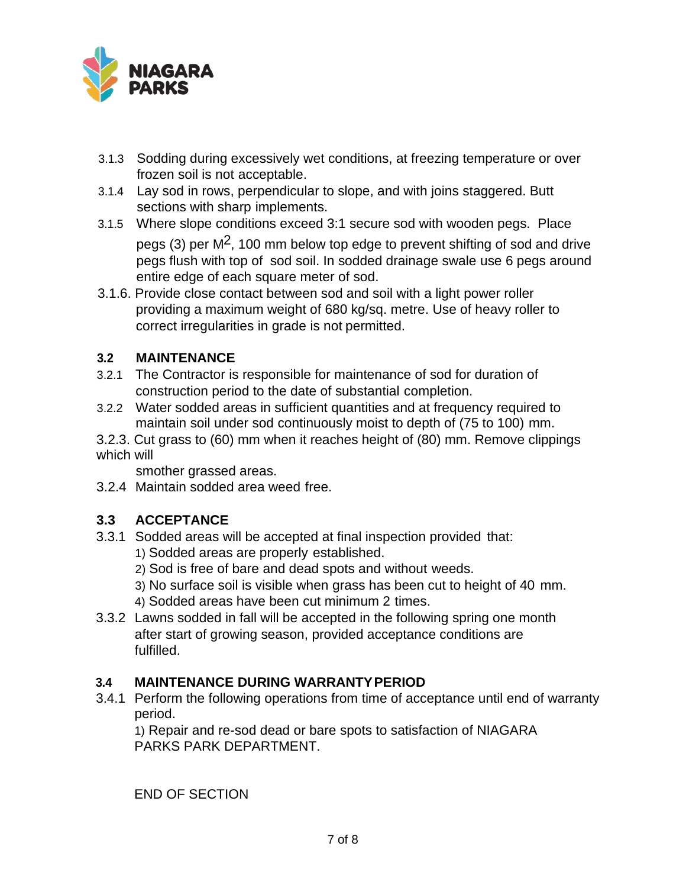

- 3.1.3 Sodding during excessively wet conditions, at freezing temperature or over frozen soil is not acceptable.
- 3.1.4 Lay sod in rows, perpendicular to slope, and with joins staggered. Butt sections with sharp implements.
- 3.1.5 Where slope conditions exceed 3:1 secure sod with wooden pegs. Place pegs (3) per  $M^2$ , 100 mm below top edge to prevent shifting of sod and drive pegs flush with top of sod soil. In sodded drainage swale use 6 pegs around entire edge of each square meter of sod.
- 3.1.6. Provide close contact between sod and soil with a light power roller providing a maximum weight of 680 kg/sq. metre. Use of heavy roller to correct irregularities in grade is not permitted.

## **3.2 MAINTENANCE**

- 3.2.1 The Contractor is responsible for maintenance of sod for duration of construction period to the date of substantial completion.
- 3.2.2 Water sodded areas in sufficient quantities and at frequency required to maintain soil under sod continuously moist to depth of (75 to 100) mm.

3.2.3. Cut grass to (60) mm when it reaches height of (80) mm. Remove clippings which will

smother grassed areas.

3.2.4 Maintain sodded area weed free.

# **3.3 ACCEPTANCE**

- 3.3.1 Sodded areas will be accepted at final inspection provided that:
	- 1) Sodded areas are properly established.
	- 2) Sod is free of bare and dead spots and without weeds.
	- 3) No surface soil is visible when grass has been cut to height of 40 mm.
	- 4) Sodded areas have been cut minimum 2 times.
- 3.3.2 Lawns sodded in fall will be accepted in the following spring one month after start of growing season, provided acceptance conditions are fulfilled.

## **3.4 MAINTENANCE DURING WARRANTYPERIOD**

3.4.1 Perform the following operations from time of acceptance until end of warranty period.

1) Repair and re-sod dead or bare spots to satisfaction of NIAGARA PARKS PARK DEPARTMENT.